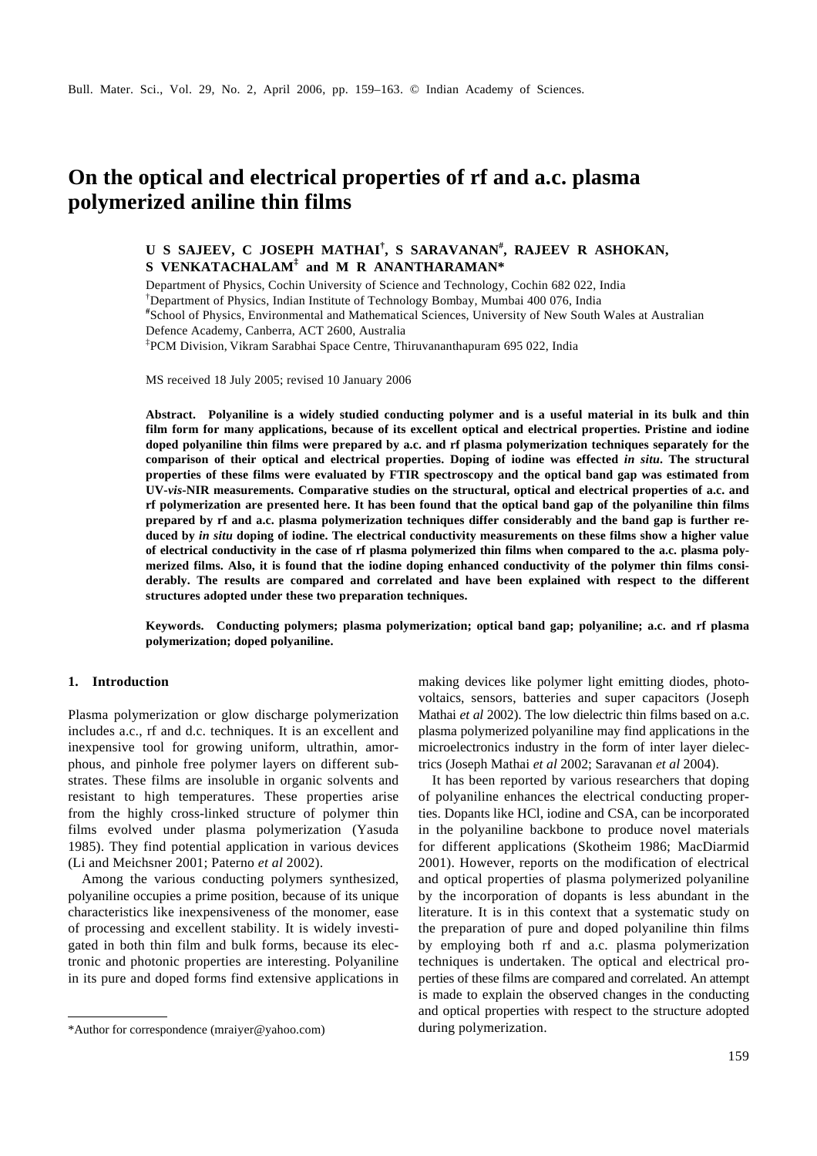# **On the optical and electrical properties of rf and a.c. plasma polymerized aniline thin films**

# **U S SAJEEV, C JOSEPH MATHAI† , S SARAVANAN# , RAJEEV R ASHOKAN, S VENKATACHALAM‡ and M R ANANTHARAMAN\***

Department of Physics, Cochin University of Science and Technology, Cochin 682 022, India †Department of Physics, Indian Institute of Technology Bombay, Mumbai 400 076, India **#** School of Physics, Environmental and Mathematical Sciences, University of New South Wales at Australian Defence Academy, Canberra, ACT 2600, Australia ‡ PCM Division, Vikram Sarabhai Space Centre, Thiruvananthapuram 695 022, India

MS received 18 July 2005; revised 10 January 2006

**Abstract. Polyaniline is a widely studied conducting polymer and is a useful material in its bulk and thin film form for many applications, because of its excellent optical and electrical properties. Pristine and iodine doped polyaniline thin films were prepared by a.c. and rf plasma polymerization techniques separately for the comparison of their optical and electrical properties. Doping of iodine was effected** *in situ***. The structural properties of these films were evaluated by FTIR spectroscopy and the optical band gap was estimated from UV-***vis***-NIR measurements. Comparative studies on the structural, optical and electrical properties of a.c. and rf polymerization are presented here. It has been found that the optical band gap of the polyaniline thin films prepared by rf and a.c. plasma polymerization techniques differ considerably and the band gap is further reduced by** *in situ* **doping of iodine. The electrical conductivity measurements on these films show a higher value of electrical conductivity in the case of rf plasma polymerized thin films when compared to the a.c. plasma polymerized films. Also, it is found that the iodine doping enhanced conductivity of the polymer thin films considerably. The results are compared and correlated and have been explained with respect to the different structures adopted under these two preparation techniques.**

**Keywords. Conducting polymers; plasma polymerization; optical band gap; polyaniline; a.c. and rf plasma polymerization; doped polyaniline.**

# **1. Introduction**

Plasma polymerization or glow discharge polymerization includes a.c., rf and d.c. techniques. It is an excellent and inexpensive tool for growing uniform, ultrathin, amorphous, and pinhole free polymer layers on different substrates. These films are insoluble in organic solvents and resistant to high temperatures. These properties arise from the highly cross-linked structure of polymer thin films evolved under plasma polymerization (Yasuda 1985). They find potential application in various devices (Li and Meichsner 2001; Paterno *et al* 2002).

Among the various conducting polymers synthesized, polyaniline occupies a prime position, because of its unique characteristics like inexpensiveness of the monomer, ease of processing and excellent stability. It is widely investigated in both thin film and bulk forms, because its electronic and photonic properties are interesting. Polyaniline in its pure and doped forms find extensive applications in making devices like polymer light emitting diodes, photovoltaics, sensors, batteries and super capacitors (Joseph Mathai *et al* 2002). The low dielectric thin films based on a.c. plasma polymerized polyaniline may find applications in the microelectronics industry in the form of inter layer dielectrics (Joseph Mathai *et al* 2002; Saravanan *et al* 2004).

It has been reported by various researchers that doping of polyaniline enhances the electrical conducting properties. Dopants like HCl, iodine and CSA, can be incorporated in the polyaniline backbone to produce novel materials for different applications (Skotheim 1986; MacDiarmid 2001). However, reports on the modification of electrical and optical properties of plasma polymerized polyaniline by the incorporation of dopants is less abundant in the literature. It is in this context that a systematic study on the preparation of pure and doped polyaniline thin films by employing both rf and a.c. plasma polymerization techniques is undertaken. The optical and electrical properties of these films are compared and correlated. An attempt is made to explain the observed changes in the conducting and optical properties with respect to the structure adopted

<sup>\*</sup>Author for correspondence (mraiyer@yahoo.com) during polymerization.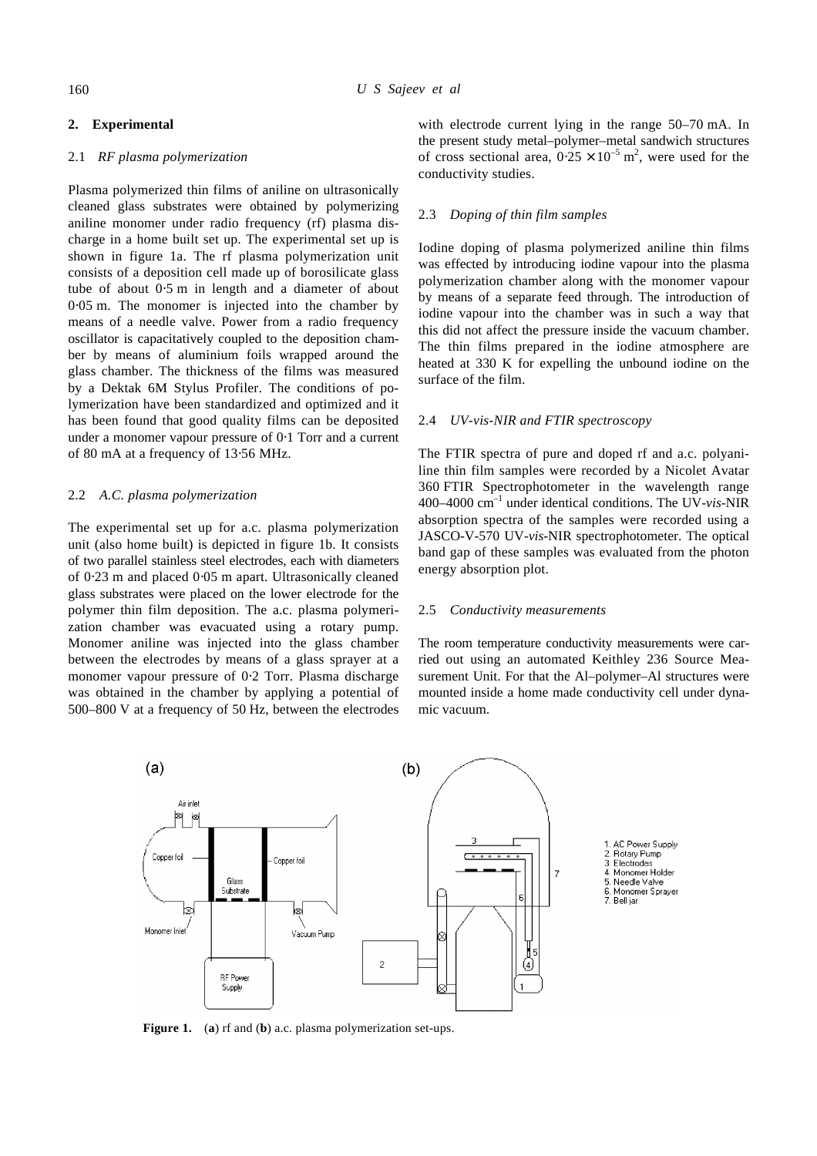# 160 *U S Sajeev et al*

# **2. Experimental**

## 2.1 *RF plasma polymerization*

Plasma polymerized thin films of aniline on ultrasonically cleaned glass substrates were obtained by polymerizing aniline monomer under radio frequency (rf) plasma discharge in a home built set up. The experimental set up is shown in figure 1a. The rf plasma polymerization unit consists of a deposition cell made up of borosilicate glass tube of about 0⋅5 m in length and a diameter of about 0⋅05 m. The monomer is injected into the chamber by means of a needle valve. Power from a radio frequency oscillator is capacitatively coupled to the deposition chamber by means of aluminium foils wrapped around the glass chamber. The thickness of the films was measured by a Dektak 6M Stylus Profiler. The conditions of polymerization have been standardized and optimized and it has been found that good quality films can be deposited under a monomer vapour pressure of 0⋅1 Torr and a current of 80 mA at a frequency of 13⋅56 MHz.

### 2.2 *A.C. plasma polymerization*

The experimental set up for a.c. plasma polymerization unit (also home built) is depicted in figure 1b. It consists of two parallel stainless steel electrodes, each with diameters of 0⋅23 m and placed 0⋅05 m apart. Ultrasonically cleaned glass substrates were placed on the lower electrode for the polymer thin film deposition. The a.c. plasma polymerization chamber was evacuated using a rotary pump. Monomer aniline was injected into the glass chamber between the electrodes by means of a glass sprayer at a monomer vapour pressure of 0⋅2 Torr. Plasma discharge was obtained in the chamber by applying a potential of 500–800 V at a frequency of 50 Hz, between the electrodes

with electrode current lying in the range 50–70 mA. In the present study metal–polymer–metal sandwich structures of cross sectional area,  $0.25 \times 10^{-5}$  m<sup>2</sup>, were used for the conductivity studies.

#### 2.3 *Doping of thin film samples*

Iodine doping of plasma polymerized aniline thin films was effected by introducing iodine vapour into the plasma polymerization chamber along with the monomer vapour by means of a separate feed through. The introduction of iodine vapour into the chamber was in such a way that this did not affect the pressure inside the vacuum chamber. The thin films prepared in the iodine atmosphere are heated at 330 K for expelling the unbound iodine on the surface of the film.

#### 2.4 *UV-vis-NIR and FTIR spectroscopy*

The FTIR spectra of pure and doped rf and a.c. polyaniline thin film samples were recorded by a Nicolet Avatar 360 FTIR Spectrophotometer in the wavelength range 400–4000 cm–1 under identical conditions. The UV-*vis*-NIR absorption spectra of the samples were recorded using a JASCO-V-570 UV-*vis*-NIR spectrophotometer. The optical band gap of these samples was evaluated from the photon energy absorption plot.

#### 2.5 *Conductivity measurements*

The room temperature conductivity measurements were carried out using an automated Keithley 236 Source Measurement Unit. For that the Al–polymer–Al structures were mounted inside a home made conductivity cell under dynamic vacuum.



1. AC Power Supply<br>2. Rotary Pump 2. Hotaly Famp<br>3. Electrodes<br>4. Monomer Holder 5. Needle Valve Monomer Sprayer 6. Monom<br>7. Bell jar

**Figure 1.** (**a**) rf and (**b**) a.c. plasma polymerization set-ups.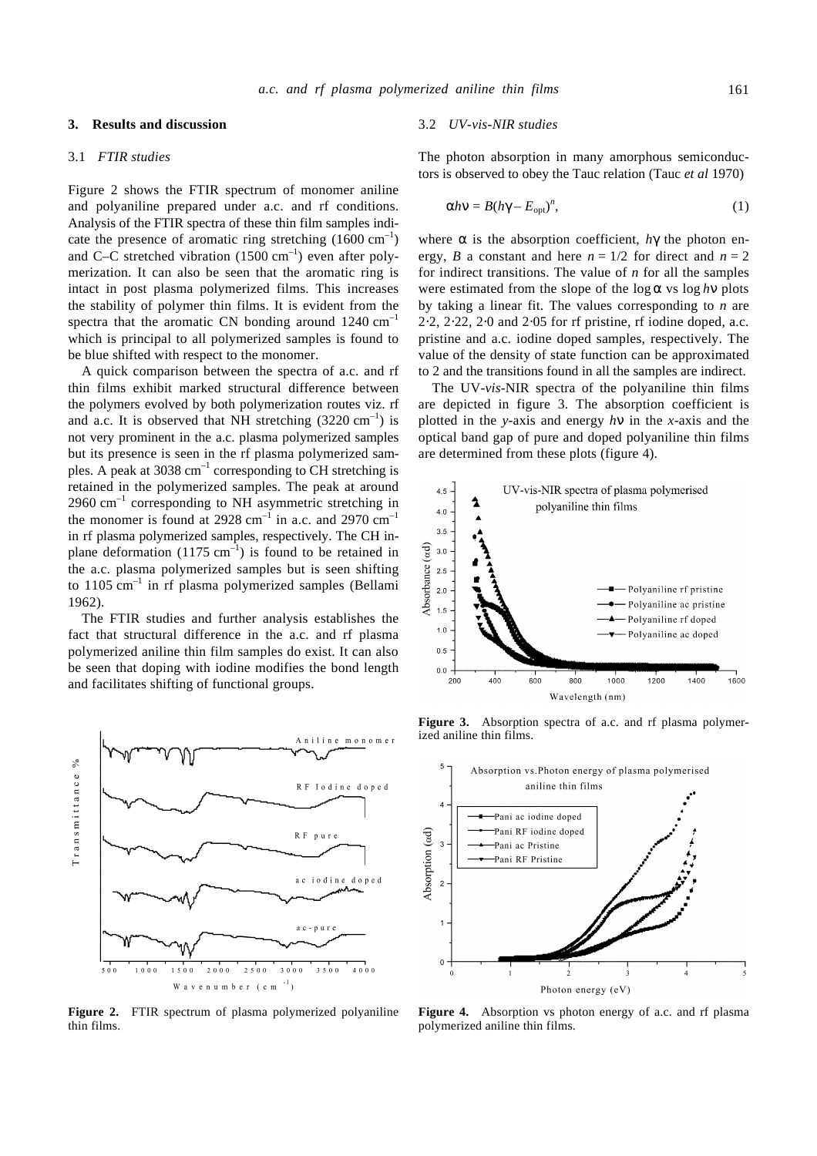## **3. Results and discussion**

#### 3.1 *FTIR studies*

Figure 2 shows the FTIR spectrum of monomer aniline and polyaniline prepared under a.c. and rf conditions. Analysis of the FTIR spectra of these thin film samples indicate the presence of aromatic ring stretching  $(1600 \text{ cm}^{-1})$ and C–C stretched vibration  $(1500 \text{ cm}^{-1})$  even after polymerization. It can also be seen that the aromatic ring is intact in post plasma polymerized films. This increases the stability of polymer thin films. It is evident from the spectra that the aromatic CN bonding around  $1240 \text{ cm}^{-1}$ which is principal to all polymerized samples is found to be blue shifted with respect to the monomer.

A quick comparison between the spectra of a.c. and rf thin films exhibit marked structural difference between the polymers evolved by both polymerization routes viz. rf and a.c. It is observed that NH stretching  $(3220 \text{ cm}^{-1})$  is not very prominent in the a.c. plasma polymerized samples but its presence is seen in the rf plasma polymerized samples. A peak at 3038  $cm^{-1}$  corresponding to CH stretching is retained in the polymerized samples. The peak at around  $2960 \text{ cm}^{-1}$  corresponding to NH asymmetric stretching in the monomer is found at 2928  $\text{cm}^{-1}$  in a.c. and 2970  $\text{cm}^{-1}$ in rf plasma polymerized samples, respectively. The CH inplane deformation  $(1175 \text{ cm}^{-1})$  is found to be retained in the a.c. plasma polymerized samples but is seen shifting to 1105 cm<sup>-1</sup> in rf plasma polymerized samples (Bellami 1962).

The FTIR studies and further analysis establishes the fact that structural difference in the a.c. and rf plasma polymerized aniline thin film samples do exist. It can also be seen that doping with iodine modifies the bond length and facilitates shifting of functional groups.



**Figure 2.** FTIR spectrum of plasma polymerized polyaniline thin films.

## 3.2 *UV-vis-NIR studies*

The photon absorption in many amorphous semiconductors is observed to obey the Tauc relation (Tauc *et al* 1970)

$$
a h n = B(hg - E_{\text{opt}})^n, \tag{1}
$$

where *a* is the absorption coefficient, *hg* the photon energy, *B* a constant and here  $n = 1/2$  for direct and  $n = 2$ for indirect transitions. The value of *n* for all the samples were estimated from the slope of the log*a* vs log *hn* plots by taking a linear fit. The values corresponding to *n* are 2⋅2, 2⋅22, 2⋅0 and 2⋅05 for rf pristine, rf iodine doped, a.c. pristine and a.c. iodine doped samples, respectively. The value of the density of state function can be approximated to 2 and the transitions found in all the samples are indirect.

The UV-*vis*-NIR spectra of the polyaniline thin films are depicted in figure 3. The absorption coefficient is plotted in the *y*-axis and energy *hn* in the *x*-axis and the optical band gap of pure and doped polyaniline thin films are determined from these plots (figure 4).







**Figure 4.** Absorption vs photon energy of a.c. and rf plasma polymerized aniline thin films.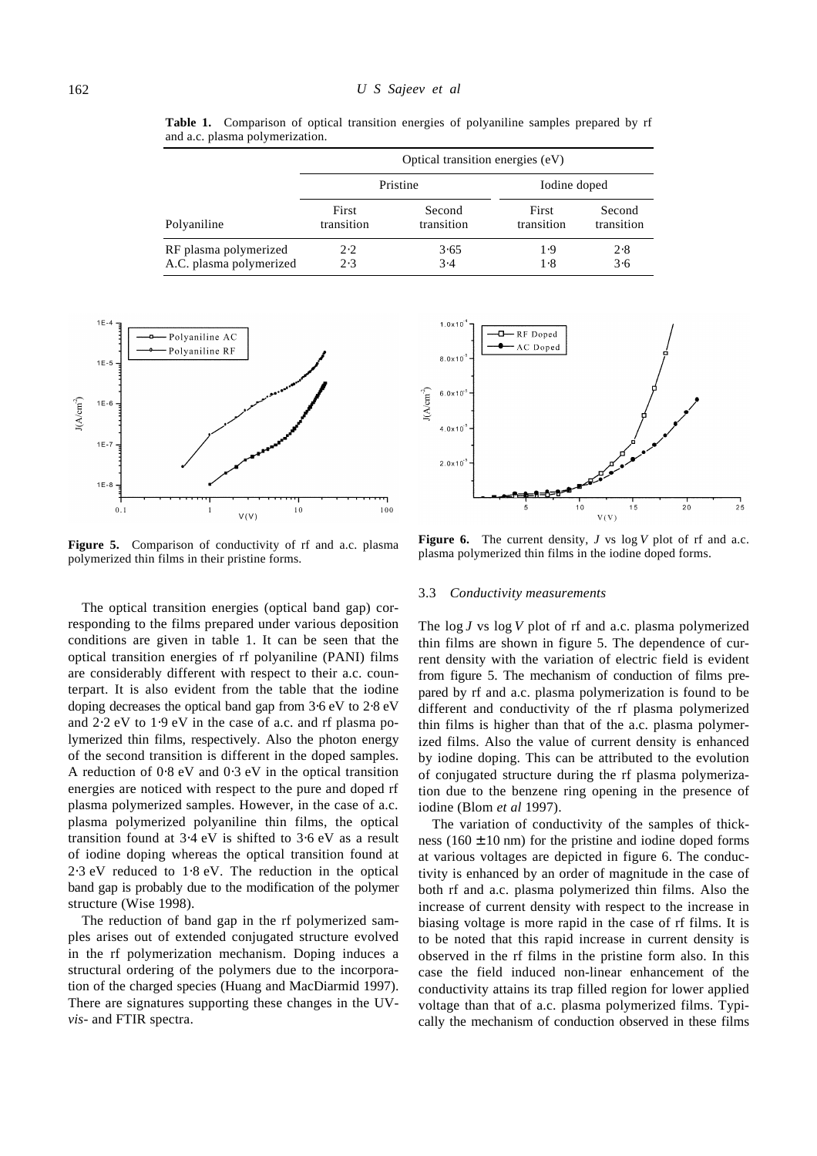| Polyaniline             | Optical transition energies (eV) |                      |                     |                      |
|-------------------------|----------------------------------|----------------------|---------------------|----------------------|
|                         | Pristine                         |                      | Iodine doped        |                      |
|                         | First<br>transition              | Second<br>transition | First<br>transition | Second<br>transition |
| RF plasma polymerized   | 2.2                              | 3.65                 | 1.9                 | 2.8                  |
| A.C. plasma polymerized | 2.3                              | 3.4                  | 1.8                 | 3.6                  |

**Table 1.** Comparison of optical transition energies of polyaniline samples prepared by rf and a.c. plasma polymerization.



**Figure 5.** Comparison of conductivity of rf and a.c. plasma polymerized thin films in their pristine forms.

The optical transition energies (optical band gap) corresponding to the films prepared under various deposition conditions are given in table 1. It can be seen that the optical transition energies of rf polyaniline (PANI) films are considerably different with respect to their a.c. counterpart. It is also evident from the table that the iodine doping decreases the optical band gap from 3⋅6 eV to 2⋅8 eV and 2⋅2 eV to 1⋅9 eV in the case of a.c. and rf plasma polymerized thin films, respectively. Also the photon energy of the second transition is different in the doped samples. A reduction of 0⋅8 eV and 0⋅3 eV in the optical transition energies are noticed with respect to the pure and doped rf plasma polymerized samples. However, in the case of a.c. plasma polymerized polyaniline thin films, the optical transition found at 3⋅4 eV is shifted to 3⋅6 eV as a result of iodine doping whereas the optical transition found at 2⋅3 eV reduced to 1⋅8 eV. The reduction in the optical band gap is probably due to the modification of the polymer structure (Wise 1998).

The reduction of band gap in the rf polymerized samples arises out of extended conjugated structure evolved in the rf polymerization mechanism. Doping induces a structural ordering of the polymers due to the incorporation of the charged species (Huang and MacDiarmid 1997). There are signatures supporting these changes in the UV*vis*- and FTIR spectra.



**Figure 6.** The current density, *J* vs log *V* plot of rf and a.c. plasma polymerized thin films in the iodine doped forms.

#### 3.3 *Conductivity measurements*

The log *J* vs log *V* plot of rf and a.c. plasma polymerized thin films are shown in figure 5. The dependence of current density with the variation of electric field is evident from figure 5. The mechanism of conduction of films prepared by rf and a.c. plasma polymerization is found to be different and conductivity of the rf plasma polymerized thin films is higher than that of the a.c. plasma polymerized films. Also the value of current density is enhanced by iodine doping. This can be attributed to the evolution of conjugated structure during the rf plasma polymerization due to the benzene ring opening in the presence of iodine (Blom *et al* 1997).

The variation of conductivity of the samples of thickness ( $160 \pm 10$  nm) for the pristine and iodine doped forms at various voltages are depicted in figure 6. The conductivity is enhanced by an order of magnitude in the case of both rf and a.c. plasma polymerized thin films. Also the increase of current density with respect to the increase in biasing voltage is more rapid in the case of rf films. It is to be noted that this rapid increase in current density is observed in the rf films in the pristine form also. In this case the field induced non-linear enhancement of the conductivity attains its trap filled region for lower applied voltage than that of a.c. plasma polymerized films. Typically the mechanism of conduction observed in these films